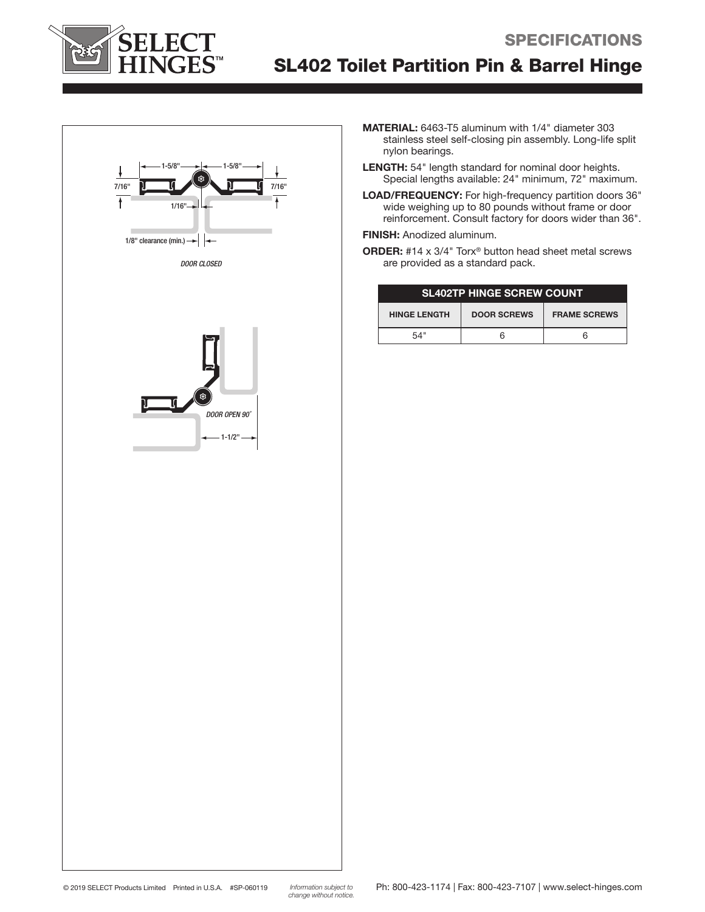

# SL402 Toilet Partition Pin & Barrel Hinge





- MATERIAL: 6463-T5 aluminum with 1/4" diameter 303 stainless steel self-closing pin assembly. Long-life split nylon bearings.
- LENGTH: 54" length standard for nominal door heights. Special lengths available: 24" minimum, 72" maximum.
- LOAD/FREQUENCY: For high-frequency partition doors 36" wide weighing up to 80 pounds without frame or door reinforcement. Consult factory for doors wider than 36".

#### FINISH: Anodized aluminum.

ORDER: #14 x 3/4" Torx® button head sheet metal screws are provided as a standard pack.

| <b>SL402TP HINGE SCREW COUNT</b> |                    |                     |
|----------------------------------|--------------------|---------------------|
| <b>HINGE LENGTH</b>              | <b>DOOR SCREWS</b> | <b>FRAME SCREWS</b> |
| 54"                              |                    | h                   |